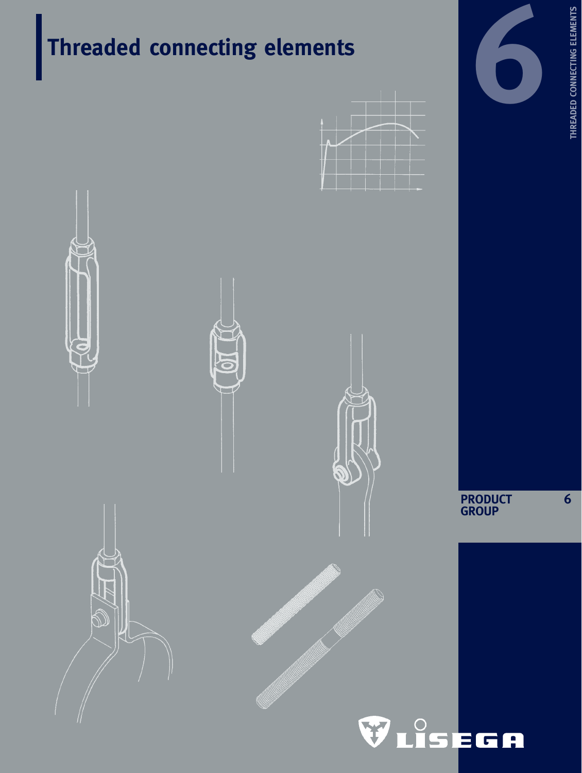## **6 Threaded connecting elements**



LÎSEGA W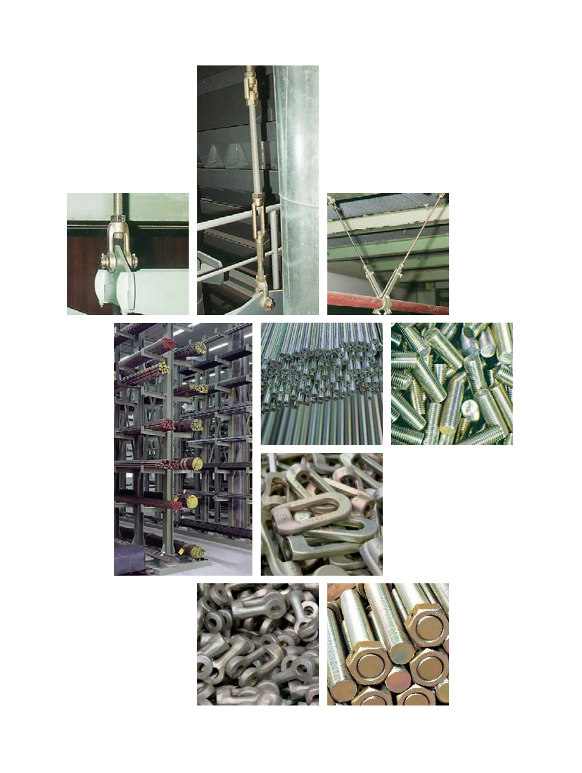















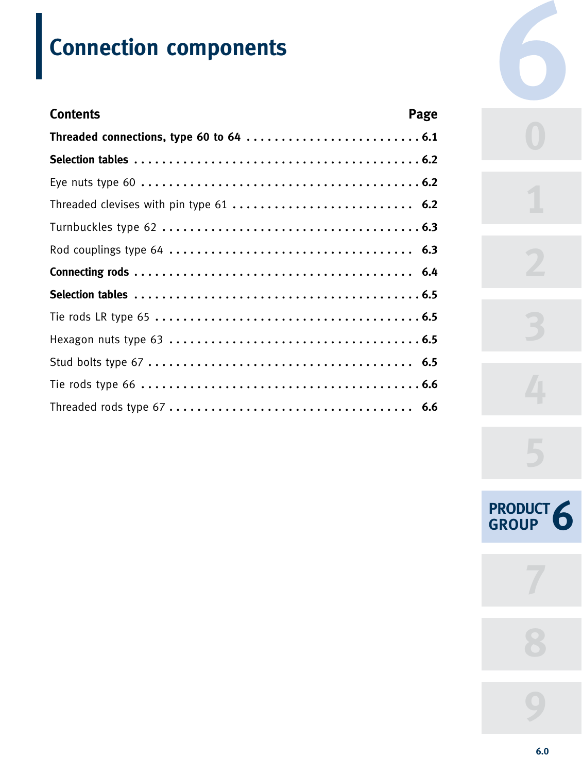# **Connection components**

| <b>Contents</b> | Page |
|-----------------|------|
|                 |      |
|                 |      |
|                 |      |
|                 |      |
|                 |      |
|                 |      |
|                 |      |
|                 |      |
|                 |      |
|                 |      |
|                 |      |
|                 |      |
|                 |      |

**6 6.0 3 PRODUCT GROUP 6**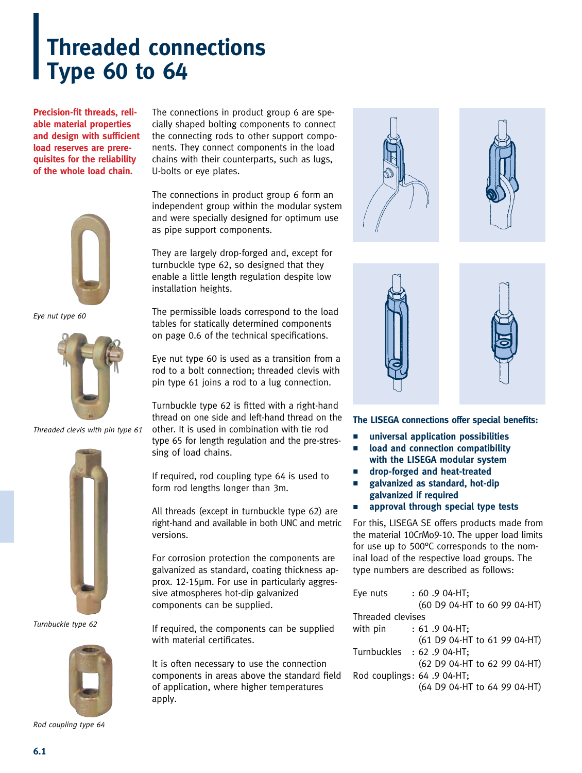### **Threaded connections Type 60 to 64**

**Precision-fit threads, reliable material properties and design with sufficient load reserves are prerequisites for the reliability of the whole load chain.**



*Eye nut type 60*



*Threaded clevis with pin type 61*



*Turnbuckle type 62*



*Rod coupling type 64*

The connections in product group 6 are specially shaped bolting components to connect the connecting rods to other support components. They connect components in the load chains with their counterparts, such as lugs, U-bolts or eye plates.

The connections in product group 6 form an independent group within the modular system and were specially designed for optimum use as pipe support components.

They are largely drop-forged and, except for turnbuckle type 62, so designed that they enable a little length regulation despite low installation heights.

The permissible loads correspond to the load tables for statically determined components on page 0.6 of the technical specifications.

Eye nut type 60 is used as a transition from a rod to a bolt connection; threaded clevis with pin type 61 joins a rod to a lug connection.

Turnbuckle type 62 is fitted with a right-hand thread on one side and left-hand thread on the other. It is used in combination with tie rod type 65 for length regulation and the pre-stressing of load chains.

If required, rod coupling type 64 is used to form rod lengths longer than 3m.

All threads (except in turnbuckle type 62) are right-hand and available in both UNC and metric versions.

For corrosion protection the components are galvanized as standard, coating thickness approx. 12-15µm. For use in particularly aggressive atmospheres hot-dip galvanized components can be supplied.

If required, the components can be supplied with material certificates.

It is often necessary to use the connection components in areas above the standard field of application, where higher temperatures apply.









**The LISEGA connections offer special benefits:**

- **universal application possibilities**
- $\blacksquare$  load and connection compatibility **with the LISEGA modular system**
- **drop-forged and heat-treated**
- **galvanized as standard, hot-dip galvanized if required**
- **approval through special type tests**

For this, LISEGA SE offers products made from the material 10CrMo9-10. The upper load limits for use up to 500°C corresponds to the nominal load of the respective load groups. The type numbers are described as follows:

| Eve nuts                   | $: 60.904$ HT;               |
|----------------------------|------------------------------|
|                            | (60 D9 04-HT to 60 99 04-HT) |
| Threaded clevises          |                              |
| with pin                   | : 61 .9 04 HT:               |
|                            | (61 D9 04-HT to 61 99 04-HT) |
| Turnbuckles : 62 .9 04-HT; |                              |
|                            | (62 D9 04-HT to 62 99 04-HT) |
| Rod couplings: 64.9 04 HT; |                              |
|                            | (64 D9 04-HT to 64 99 04-HT) |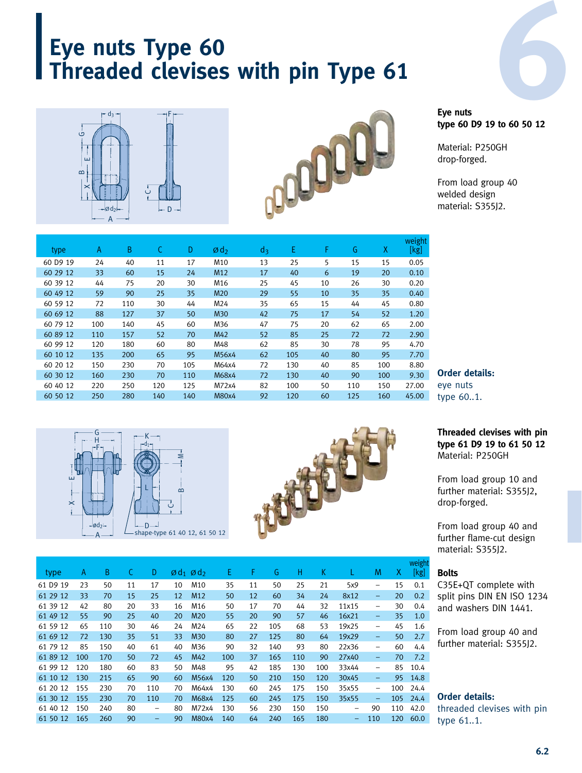### **Eye nuts Type 60 Threaded clevises with pin Type 61**





| Eye nuts<br>type 60 D9 19 to 60 50 12 |  |
|---------------------------------------|--|

Material: P250GH drop-forged.

From load group 40 welded design material: S355J2.

| type     | A   | B   | C   | D   | $\emptyset$ d <sub>2</sub> | $d_3$ | E   | F  | G   | X   | weight<br>[kg] |
|----------|-----|-----|-----|-----|----------------------------|-------|-----|----|-----|-----|----------------|
| 60 D9 19 | 24  | 40  | 11  | 17  | M10                        | 13    | 25  | 5  | 15  | 15  | 0.05           |
| 60 29 12 | 33  | 60  | 15  | 24  | M12                        | 17    | 40  | 6  | 19  | 20  | 0.10           |
| 60 39 12 | 44  | 75  | 20  | 30  | M16                        | 25    | 45  | 10 | 26  | 30  | 0.20           |
| 60 49 12 | 59  | 90  | 25  | 35  | M <sub>20</sub>            | 29    | 55  | 10 | 35  | 35  | 0.40           |
| 60 59 12 | 72  | 110 | 30  | 44  | M24                        | 35    | 65  | 15 | 44  | 45  | 0.80           |
| 60 69 12 | 88  | 127 | 37  | 50  | M30                        | 42    | 75  | 17 | 54  | 52  | 1.20           |
| 60 79 12 | 100 | 140 | 45  | 60  | M36                        | 47    | 75  | 20 | 62  | 65  | 2.00           |
| 60 89 12 | 110 | 157 | 52  | 70  | M42                        | 52    | 85  | 25 | 72  | 72  | 2.90           |
| 60 99 12 | 120 | 180 | 60  | 80  | M48                        | 62    | 85  | 30 | 78  | 95  | 4.70           |
| 60 10 12 | 135 | 200 | 65  | 95  | M56x4                      | 62    | 105 | 40 | 80  | 95  | 7.70           |
| 60 20 12 | 150 | 230 | 70  | 105 | M64x4                      | 72    | 130 | 40 | 85  | 100 | 8.80           |
| 60 30 12 | 160 | 230 | 70  | 110 | M68x4                      | 72    | 130 | 40 | 90  | 100 | 9.30           |
| 60 40 12 | 220 | 250 | 120 | 125 | M72x4                      | 82    | 100 | 50 | 110 | 150 | 27.00          |
| 60 50 12 | 250 | 280 | 140 | 140 | M80x4                      | 92    | 120 | 60 | 125 | 160 | 45.00          |





|          |     |     |    |                          |    |                                                       |     |    |     |     |     |                          |     |     | weight |
|----------|-----|-----|----|--------------------------|----|-------------------------------------------------------|-----|----|-----|-----|-----|--------------------------|-----|-----|--------|
| type     | А   | B   | C  | D                        |    | $\emptyset$ d <sub>1</sub> $\emptyset$ d <sub>2</sub> | E.  | F  | G   | Н   | К   |                          | M   | Х   | [kg]   |
| 61 D9 19 | 23  | 50  | 11 | 17                       | 10 | M10                                                   | 35  | 11 | 50  | 25  | 21  | 5x9                      | -   | 15  | 0.1    |
| 61 29 12 | 33  | 70  | 15 | 25                       | 12 | M <sub>12</sub>                                       | 50  | 12 | 60  | 34  | 24  | 8x12                     | -   | 20  | 0.2    |
| 61 39 12 | 42  | 80  | 20 | 33                       | 16 | M16                                                   | 50  | 17 | 70  | 44  | 32  | 11x15                    | -   | 30  | 0.4    |
| 61 49 12 | 55  | 90  | 25 | 40                       | 20 | M <sub>20</sub>                                       | 55  | 20 | 90  | 57  | 46  | 16x21                    | -   | 35  | 1.0    |
| 61 59 12 | 65  | 110 | 30 | 46                       | 24 | M24                                                   | 65  | 22 | 105 | 68  | 53  | 19x25                    |     | 45  | 1.6    |
| 61 69 12 | 72  | 130 | 35 | 51                       | 33 | M30                                                   | 80  | 27 | 125 | 80  | 64  | 19x29                    | -   | 50  | 2.7    |
| 61 79 12 | 85  | 150 | 40 | 61                       | 40 | M36                                                   | 90  | 32 | 140 | 93  | 80  | 22x36                    |     | 60  | 4.4    |
| 61 89 12 | 100 | 170 | 50 | 72                       | 45 | M42                                                   | 100 | 37 | 165 | 110 | 90  | 27x40                    | -   | 70  | 7.2    |
| 61 99 12 | 120 | 180 | 60 | 83                       | 50 | M48                                                   | 95  | 42 | 185 | 130 | 100 | 33x44                    | -   | 85  | 10.4   |
| 61 10 12 | 130 | 215 | 65 | 90                       | 60 | M56x4                                                 | 120 | 50 | 210 | 150 | 120 | 30x45                    |     | 95  | 14.8   |
| 61 20 12 | 155 | 230 | 70 | 110                      | 70 | M64x4                                                 | 130 | 60 | 245 | 175 | 150 | 35x55                    | -   | 100 | 24.4   |
| 61 30 12 | 155 | 230 | 70 | 110                      | 70 | M68x4                                                 | 125 | 60 | 245 | 175 | 150 | 35x55                    | -   | 105 | 24.4   |
| 61 40 12 | 150 | 240 | 80 | $\overline{\phantom{0}}$ | 80 | M72x4                                                 | 130 | 56 | 230 | 150 | 150 | $\overline{\phantom{m}}$ | 90  | 110 | 42.0   |
| 61 50 12 | 165 | 260 | 90 |                          | 90 | M80x4                                                 | 140 | 64 | 240 | 165 | 180 |                          | 110 | 120 | 60.0   |
|          |     |     |    |                          |    |                                                       |     |    |     |     |     |                          |     |     |        |

**Order details:**  eye nuts type 60..1.

#### **Threaded clevises with pin type 61 D9 19 to 61 50 12**  Material: P250GH

From load group 10 and further material: S355J2, drop-forged.

From load group 40 and further flame-cut design material: S355J2.

#### **Bolts**

C35E+QT complete with split pins DIN EN ISO 1234 and washers DIN 1441.

From load group 40 and further material: S355J2.

#### **Order details:**

threaded clevises with pin type 61..1.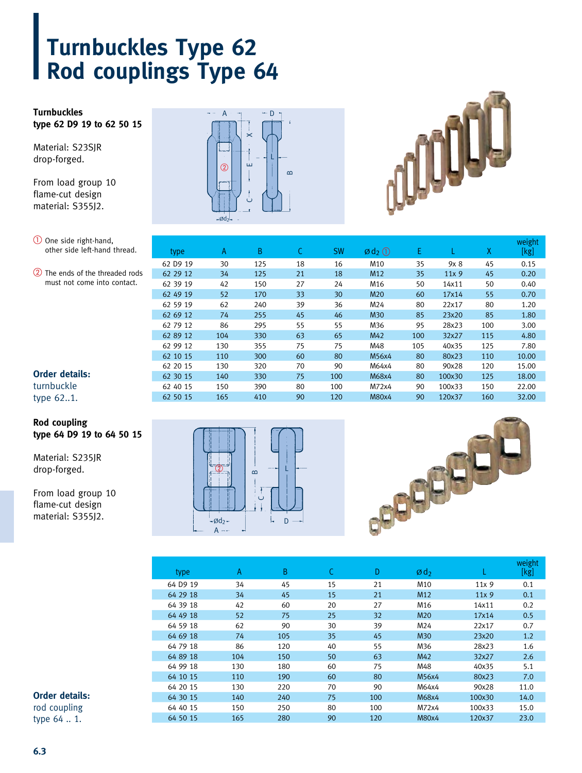### **Turnbuckles Type 62 Rod couplings Type 64**

#### **Turnbuckles type 62 D9 19 to 62 50 15**

Material: S23SJR drop-forged.

From load group 10 flame-cut design material: S355J2.





 One side right-hand, other side left-hand thread.

(2) The ends of the threaded rod must not come into contact.

|   | type     | A   | B   | C  | <b>SW</b> | $\emptyset$ d <sub>2</sub> (1) | E.  |                  | X   | weight<br>[kg] |
|---|----------|-----|-----|----|-----------|--------------------------------|-----|------------------|-----|----------------|
|   | 62 D9 19 | 30  | 125 | 18 | 16        | M10                            | 35  | 9x 8             | 45  | 0.15           |
| S | 62 29 12 | 34  | 125 | 21 | 18        | M12                            | 35  | 11x <sub>9</sub> | 45  | 0.20           |
|   | 62 39 19 | 42  | 150 | 27 | 24        | M16                            | 50  | 14x11            | 50  | 0.40           |
|   | 62 49 19 | 52  | 170 | 33 | 30        | M <sub>20</sub>                | 60  | 17x14            | 55  | 0.70           |
|   | 62 59 19 | 62  | 240 | 39 | 36        | M24                            | 80  | 22x17            | 80  | 1.20           |
|   | 62 69 12 | 74  | 255 | 45 | 46        | M30                            | 85  | 23x20            | 85  | 1.80           |
|   | 62 79 12 | 86  | 295 | 55 | 55        | M36                            | 95  | 28x23            | 100 | 3.00           |
|   | 62 89 12 | 104 | 330 | 63 | 65        | M42                            | 100 | 32x27            | 115 | 4.80           |
|   | 62 99 12 | 130 | 355 | 75 | 75        | M48                            | 105 | 40x35            | 125 | 7.80           |
|   | 62 10 15 | 110 | 300 | 60 | 80        | M56x4                          | 80  | 80x23            | 110 | 10.00          |
|   | 62 20 15 | 130 | 320 | 70 | 90        | M64x4                          | 80  | 90x28            | 120 | 15.00          |
|   | 62 30 15 | 140 | 330 | 75 | 100       | M68x4                          | 80  | 100x30           | 125 | 18.00          |
|   | 62 40 15 | 150 | 390 | 80 | 100       | M72x4                          | 90  | 100x33           | 150 | 22.00          |
|   | 62 50 15 | 165 | 410 | 90 | 120       | M80x4                          | 90  | 120x37           | 160 | 32.00          |
|   |          |     |     |    |           |                                |     |                  |     |                |

#### **Order details:**

turnbuckle type 62..1.

#### **Rod coupling type 64 D9 19 to 64 50 15**

Material: S235JR drop-forged.

From load group 10 flame-cut design material: S355J2.





| type     | A   | B   | C  | D   | Ød <sub>2</sub> |        | weight<br>[kg] |
|----------|-----|-----|----|-----|-----------------|--------|----------------|
| 64 D9 19 | 34  | 45  | 15 | 21  | M10             | 11x9   | 0.1            |
| 64 29 18 | 34  | 45  | 15 | 21  | M12             | 11x9   | 0.1            |
| 64 39 18 | 42  | 60  | 20 | 27  | M16             | 14x11  | 0.2            |
| 64 49 18 | 52  | 75  | 25 | 32  | M20             | 17x14  | 0.5            |
| 64 59 18 | 62  | 90  | 30 | 39  | M24             | 22x17  | 0.7            |
| 64 69 18 | 74  | 105 | 35 | 45  | M30             | 23x20  | 1.2            |
| 64 79 18 | 86  | 120 | 40 | 55  | M36             | 28x23  | 1.6            |
| 64 89 18 | 104 | 150 | 50 | 63  | M42             | 32x27  | 2.6            |
| 64 99 18 | 130 | 180 | 60 | 75  | M48             | 40x35  | 5.1            |
| 64 10 15 | 110 | 190 | 60 | 80  | M56x4           | 80x23  | 7.0            |
| 64 20 15 | 130 | 220 | 70 | 90  | M64x4           | 90x28  | 11.0           |
| 64 30 15 | 140 | 240 | 75 | 100 | M68x4           | 100x30 | 14.0           |
| 64 40 15 | 150 | 250 | 80 | 100 | M72x4           | 100x33 | 15.0           |
| 64 50 15 | 165 | 280 | 90 | 120 | M80x4           | 120x37 | 23.0           |

**Order details:**  rod coupling

type 64 .. 1.

**6.3**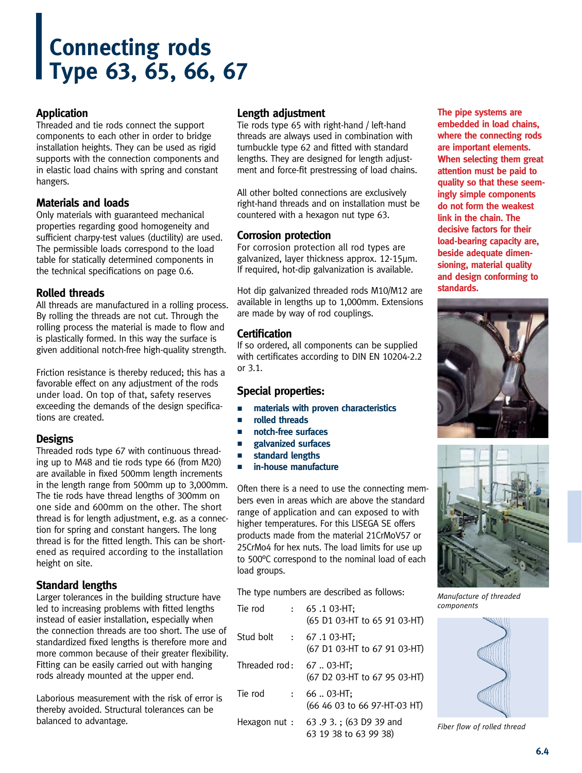### **Connecting rods Type 63, 65, 66, 67**

#### **Application**

Threaded and tie rods connect the support components to each other in order to bridge installation heights. They can be used as rigid supports with the connection components and in elastic load chains with spring and constant hangers.

#### **Materials and loads**

Only materials with guaranteed mechanical properties regarding good homogeneity and sufficient charpy-test values (ductility) are used. The permissible loads correspond to the load table for statically determined components in the technical specifications on page 0.6.

#### **Rolled threads**

All threads are manufactured in a rolling process. By rolling the threads are not cut. Through the rolling process the material is made to flow and is plastically formed. In this way the surface is given additional notch-free high-quality strength.

Friction resistance is thereby reduced; this has a favorable effect on any adjustment of the rods under load. On top of that, safety reserves exceeding the demands of the design specifications are created.

#### **Designs**

Threaded rods type 67 with continuous threading up to M48 and tie rods type 66 (from M20) are available in fixed 500mm length increments in the length range from 500mm up to 3,000mm. The tie rods have thread lengths of 300mm on one side and 600mm on the other. The short thread is for length adjustment, e.g. as a connection for spring and constant hangers. The long thread is for the fitted length. This can be shortened as required according to the installation height on site.

#### **Standard lengths**

Larger tolerances in the building structure have led to increasing problems with fitted lengths instead of easier installation, especially when the connection threads are too short. The use of standardized fixed lengths is therefore more and more common because of their greater flexibility. Fitting can be easily carried out with hanging rods already mounted at the upper end.

Laborious measurement with the risk of error is thereby avoided. Structural tolerances can be balanced to advantage.

#### **Length adjustment**

Tie rods type 65 with right-hand / left-hand threads are always used in combination with turnbuckle type 62 and fitted with standard lengths. They are designed for length adjustment and force-fit prestressing of load chains.

All other bolted connections are exclusively right-hand threads and on installation must be countered with a hexagon nut type 63.

#### **Corrosion protection**

For corrosion protection all rod types are galvanized, layer thickness approx. 12-15µm. If required, hot-dip galvanization is available.

Hot dip galvanized threaded rods M10/M12 are available in lengths up to 1,000mm. Extensions are made by way of rod couplings.

#### **Certification**

If so ordered, all components can be supplied with certificates according to DIN EN 10204-2.2 or 3.1.

#### **Special properties:**

- **materials with proven characteristics**
- **rolled threads**
- **notch-free surfaces**
- **galvanized surfaces**
- **standard lengths**
- **in-house manufacture**

Often there is a need to use the connecting members even in areas which are above the standard range of application and can exposed to with higher temperatures. For this LISEGA SE offers products made from the material 21CrMoV57 or 25CrMo4 for hex nuts. The load limits for use up to 500°C correspond to the nominal load of each load groups.

The type numbers are described as follows:

| Tie rod       | $\mathbf{r}$   | $65.103$ -HT;<br>(65 D1 03-HT to 65 91 03-HT)   |
|---------------|----------------|-------------------------------------------------|
| Stud bolt     | $\sim 10^{-1}$ | 67.1 03-HT;<br>(67 D1 03 HT to 67 91 03 HT)     |
| Threaded rod: |                | $67.03$ -HT;<br>(67 D2 03 HT to 67 95 03 HT)    |
| Tie rod       | $\mathbf{L}$   | $6603$ -HT;<br>(66 46 03 to 66 97-HT-03 HT)     |
| Hexagon nut : |                | 63.9 3.; (63 D9 39 and<br>63 19 38 to 63 99 38) |

**The pipe systems are embedded in load chains, where the connecting rods are important elements. When selecting them great attention must be paid to quality so that these seemingly simple components do not form the weakest link in the chain. The decisive factors for their load-bearing capacity are, beside adequate dimensioning, material quality and design conforming to standards.** 





*Manufacture of threaded components*



*Fiber flow of rolled thread*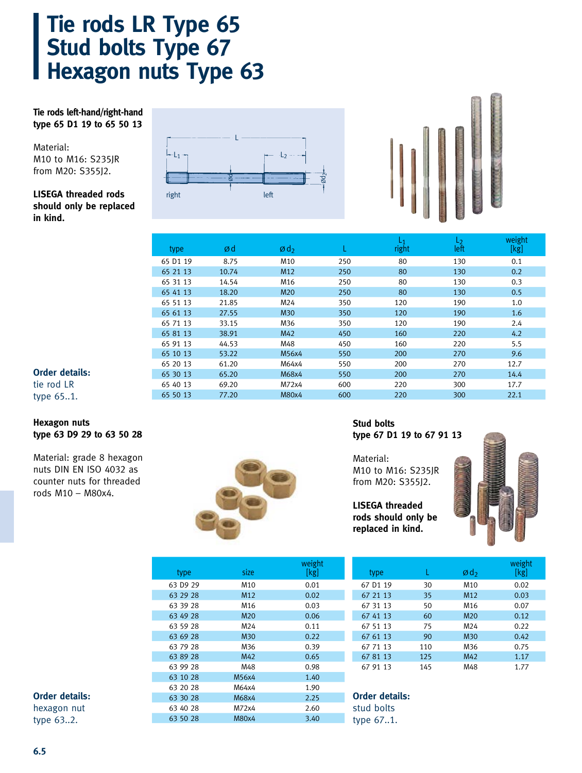### **Tie rods LR Type 65 Stud bolts Type 67 Hexagon nuts Type 63**

**Tie rods left-hand/right-hand type 65 D1 19 to 65 50 13** 

Material: M10 to M16: S235JR from M20: S355J2.

**LISEGA threaded rods should only be replaced in kind.**





| type     | ød    | $\emptyset$ d <sub>2</sub> |     | L <sub>1</sub><br>right | L <sub>2</sub><br>left | weight<br>[kg] |
|----------|-------|----------------------------|-----|-------------------------|------------------------|----------------|
| 65 D1 19 | 8.75  | M10                        | 250 | 80                      | 130                    | 0.1            |
| 65 21 13 | 10.74 | M <sub>12</sub>            | 250 | 80                      | 130                    | 0.2            |
| 65 31 13 | 14.54 | M16                        | 250 | 80                      | 130                    | 0.3            |
| 65 41 13 | 18.20 | M <sub>20</sub>            | 250 | 80                      | 130                    | 0.5            |
| 65 51 13 | 21.85 | M24                        | 350 | 120                     | 190                    | 1.0            |
| 65 61 13 | 27.55 | M30                        | 350 | 120                     | 190                    | 1.6            |
| 65 71 13 | 33.15 | M36                        | 350 | 120                     | 190                    | 2.4            |
| 65 81 13 | 38.91 | M42                        | 450 | 160                     | 220                    | 4.2            |
| 65 91 13 | 44.53 | M48                        | 450 | 160                     | 220                    | 5.5            |
| 65 10 13 | 53.22 | M56x4                      | 550 | 200                     | 270                    | 9.6            |
| 65 20 13 | 61.20 | M64x4                      | 550 | 200                     | 270                    | 12.7           |
| 65 30 13 | 65.20 | M68x4                      | 550 | 200                     | 270                    | 14.4           |
| 65 40 13 | 69.20 | M72x4                      | 600 | 220                     | 300                    | 17.7           |
| 65 50 13 | 77.20 | M80x4                      | 600 | 220                     | 300                    | 22.1           |
|          |       |                            |     |                         |                        |                |

#### **Order details:**

tie rod LR type 65..1.

#### **Hexagon nuts type 63 D9 29 to 63 50 28**

Material: grade 8 hexagon nuts DIN EN ISO 4032 as counter nuts for threaded rods M10 – M80x4.



**Stud bolts type 67 D1 19 to 67 91 13** 

Material: M10 to M16: S235JR from M20: S355J2.

**LISEGA threaded rods should only be replaced in kind.**



weight  $[kg]$ 

| size | weight<br>[kg] | type                  |     | Ød <sub>2</sub> | weigh<br>[kg] |
|------|----------------|-----------------------|-----|-----------------|---------------|
| M10  | 0.01           | 67 D1 19              | 30  | M10             | 0.02          |
| M12  | 0.02           | 67 21 13              | 35  | M12             | 0.03          |
| M16  | 0.03           | 67 31 13              | 50  | M <sub>16</sub> | 0.07          |
| M20  | 0.06           | 67 41 13              | 60  | M <sub>20</sub> | 0.12          |
| M24  | 0.11           | 67 51 13              | 75  | M24             | 0.22          |
| M30  | 0.22           | 67 61 13              | 90  | M30             | 0.42          |
| M36  | 0.39           | 67 71 13              | 110 | M36             | 0.75          |
| M42  | 0.65           | 67 81 13              | 125 | M42             | 1.17          |
| M48  | 0.98           | 67 91 13              | 145 | M48             | 1.77          |
| 56x4 | 1.40           |                       |     |                 |               |
| 64x4 | 1.90           |                       |     |                 |               |
| 68x4 | 2.25           | <b>Order details:</b> |     |                 |               |

stud bolts type 67..1.

**Order details:** 

hexagon nut type 63..2.

type